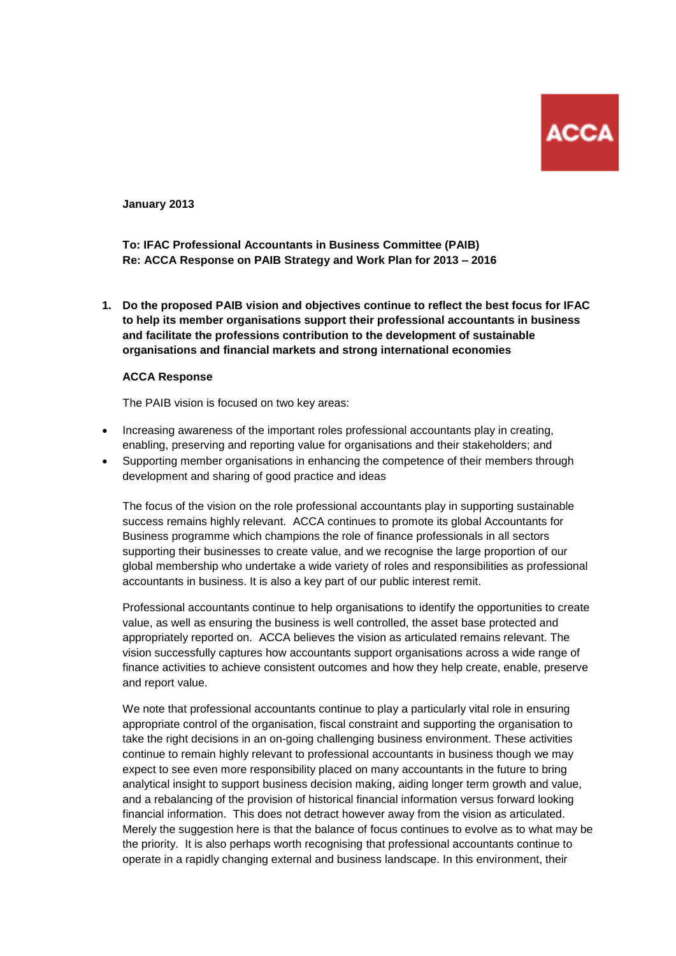

**January 2013**

**To: IFAC Professional Accountants in Business Committee (PAIB) Re: ACCA Response on PAIB Strategy and Work Plan for 2013 – 2016**

**1. Do the proposed PAIB vision and objectives continue to reflect the best focus for IFAC to help its member organisations support their professional accountants in business and facilitate the professions contribution to the development of sustainable organisations and financial markets and strong international economies**

#### **ACCA Response**

The PAIB vision is focused on two key areas:

- Increasing awareness of the important roles professional accountants play in creating, enabling, preserving and reporting value for organisations and their stakeholders; and
- Supporting member organisations in enhancing the competence of their members through development and sharing of good practice and ideas

The focus of the vision on the role professional accountants play in supporting sustainable success remains highly relevant. ACCA continues to promote its global Accountants for Business programme which champions the role of finance professionals in all sectors supporting their businesses to create value, and we recognise the large proportion of our global membership who undertake a wide variety of roles and responsibilities as professional accountants in business. It is also a key part of our public interest remit.

Professional accountants continue to help organisations to identify the opportunities to create value, as well as ensuring the business is well controlled, the asset base protected and appropriately reported on. ACCA believes the vision as articulated remains relevant. The vision successfully captures how accountants support organisations across a wide range of finance activities to achieve consistent outcomes and how they help create, enable, preserve and report value.

We note that professional accountants continue to play a particularly vital role in ensuring appropriate control of the organisation, fiscal constraint and supporting the organisation to take the right decisions in an on-going challenging business environment. These activities continue to remain highly relevant to professional accountants in business though we may expect to see even more responsibility placed on many accountants in the future to bring analytical insight to support business decision making, aiding longer term growth and value, and a rebalancing of the provision of historical financial information versus forward looking financial information. This does not detract however away from the vision as articulated. Merely the suggestion here is that the balance of focus continues to evolve as to what may be the priority. It is also perhaps worth recognising that professional accountants continue to operate in a rapidly changing external and business landscape. In this environment, their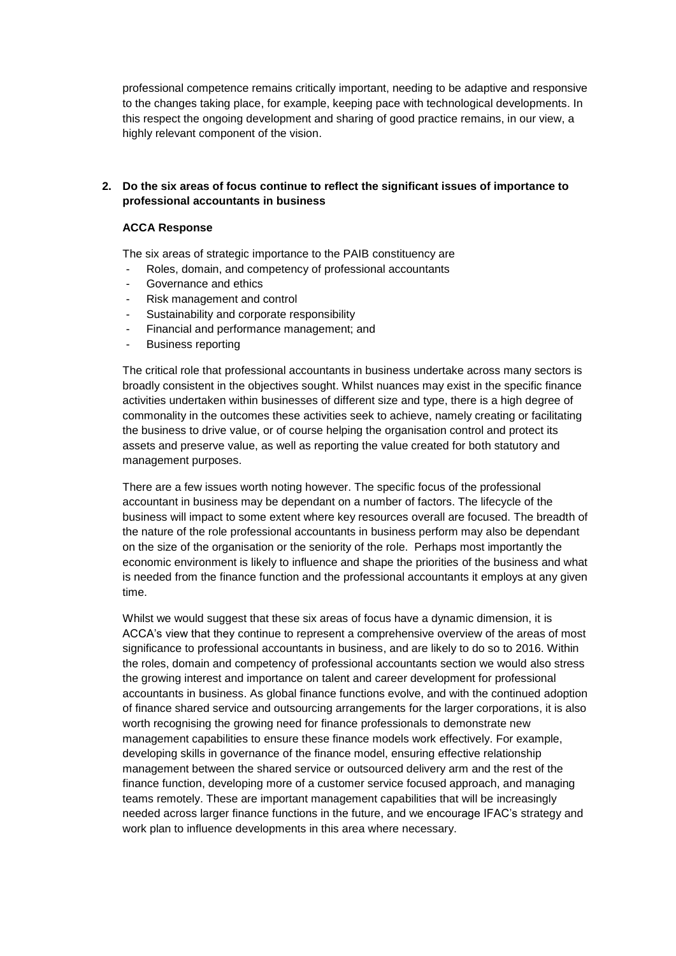professional competence remains critically important, needing to be adaptive and responsive to the changes taking place, for example, keeping pace with technological developments. In this respect the ongoing development and sharing of good practice remains, in our view, a highly relevant component of the vision.

## **2. Do the six areas of focus continue to reflect the significant issues of importance to professional accountants in business**

#### **ACCA Response**

The six areas of strategic importance to the PAIB constituency are

- Roles, domain, and competency of professional accountants
- Governance and ethics
- Risk management and control
- Sustainability and corporate responsibility
- Financial and performance management; and
- Business reporting

The critical role that professional accountants in business undertake across many sectors is broadly consistent in the objectives sought. Whilst nuances may exist in the specific finance activities undertaken within businesses of different size and type, there is a high degree of commonality in the outcomes these activities seek to achieve, namely creating or facilitating the business to drive value, or of course helping the organisation control and protect its assets and preserve value, as well as reporting the value created for both statutory and management purposes.

There are a few issues worth noting however. The specific focus of the professional accountant in business may be dependant on a number of factors. The lifecycle of the business will impact to some extent where key resources overall are focused. The breadth of the nature of the role professional accountants in business perform may also be dependant on the size of the organisation or the seniority of the role. Perhaps most importantly the economic environment is likely to influence and shape the priorities of the business and what is needed from the finance function and the professional accountants it employs at any given time.

Whilst we would suggest that these six areas of focus have a dynamic dimension, it is ACCA's view that they continue to represent a comprehensive overview of the areas of most significance to professional accountants in business, and are likely to do so to 2016. Within the roles, domain and competency of professional accountants section we would also stress the growing interest and importance on talent and career development for professional accountants in business. As global finance functions evolve, and with the continued adoption of finance shared service and outsourcing arrangements for the larger corporations, it is also worth recognising the growing need for finance professionals to demonstrate new management capabilities to ensure these finance models work effectively. For example, developing skills in governance of the finance model, ensuring effective relationship management between the shared service or outsourced delivery arm and the rest of the finance function, developing more of a customer service focused approach, and managing teams remotely. These are important management capabilities that will be increasingly needed across larger finance functions in the future, and we encourage IFAC's strategy and work plan to influence developments in this area where necessary.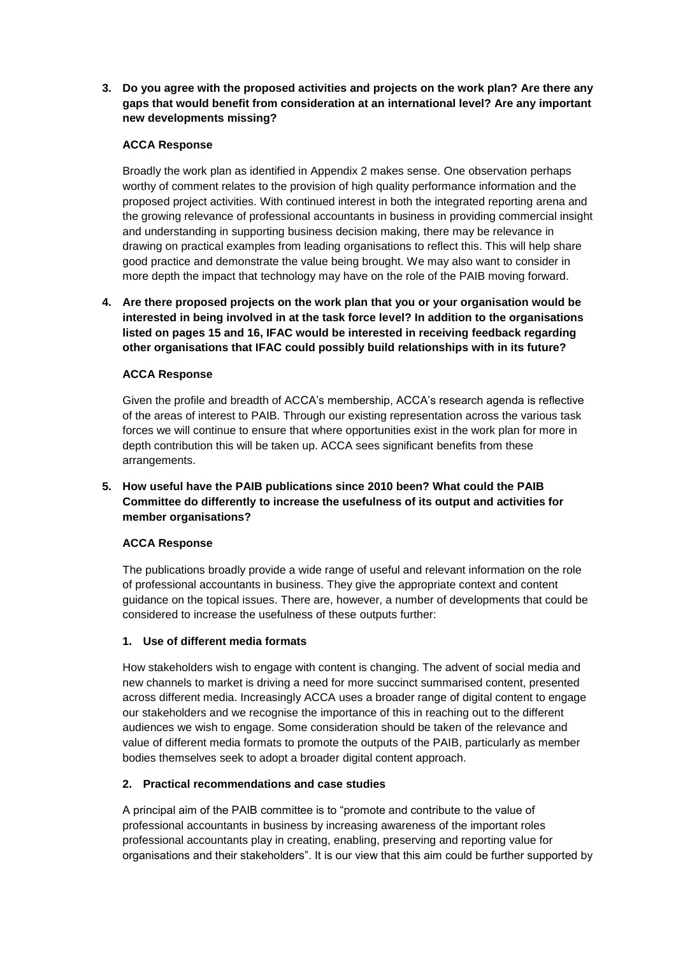**3. Do you agree with the proposed activities and projects on the work plan? Are there any gaps that would benefit from consideration at an international level? Are any important new developments missing?**

## **ACCA Response**

Broadly the work plan as identified in Appendix 2 makes sense. One observation perhaps worthy of comment relates to the provision of high quality performance information and the proposed project activities. With continued interest in both the integrated reporting arena and the growing relevance of professional accountants in business in providing commercial insight and understanding in supporting business decision making, there may be relevance in drawing on practical examples from leading organisations to reflect this. This will help share good practice and demonstrate the value being brought. We may also want to consider in more depth the impact that technology may have on the role of the PAIB moving forward.

**4. Are there proposed projects on the work plan that you or your organisation would be interested in being involved in at the task force level? In addition to the organisations listed on pages 15 and 16, IFAC would be interested in receiving feedback regarding other organisations that IFAC could possibly build relationships with in its future?**

## **ACCA Response**

Given the profile and breadth of ACCA's membership, ACCA's research agenda is reflective of the areas of interest to PAIB. Through our existing representation across the various task forces we will continue to ensure that where opportunities exist in the work plan for more in depth contribution this will be taken up. ACCA sees significant benefits from these arrangements.

# **5. How useful have the PAIB publications since 2010 been? What could the PAIB Committee do differently to increase the usefulness of its output and activities for member organisations?**

### **ACCA Response**

The publications broadly provide a wide range of useful and relevant information on the role of professional accountants in business. They give the appropriate context and content guidance on the topical issues. There are, however, a number of developments that could be considered to increase the usefulness of these outputs further:

### **1. Use of different media formats**

How stakeholders wish to engage with content is changing. The advent of social media and new channels to market is driving a need for more succinct summarised content, presented across different media. Increasingly ACCA uses a broader range of digital content to engage our stakeholders and we recognise the importance of this in reaching out to the different audiences we wish to engage. Some consideration should be taken of the relevance and value of different media formats to promote the outputs of the PAIB, particularly as member bodies themselves seek to adopt a broader digital content approach.

### **2. Practical recommendations and case studies**

A principal aim of the PAIB committee is to "promote and contribute to the value of professional accountants in business by increasing awareness of the important roles professional accountants play in creating, enabling, preserving and reporting value for organisations and their stakeholders". It is our view that this aim could be further supported by